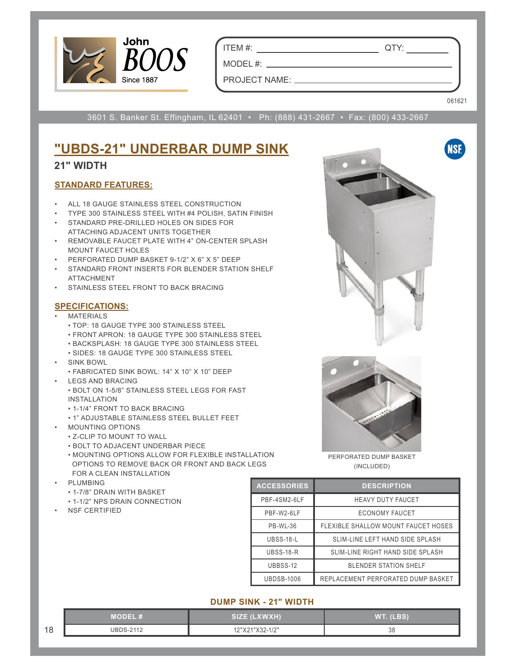

ITEM #: QTY:

PROJECT NAME:

MODEL #:

061621

**NSF** 

3601 S. Banker St. Effingham, IL 62401 • Ph: (888) 431-2667 • Fax: (800) 433-2667

### **"UBDS-21" UNDERBAR DUMP SINK 21" WIDTH**

## **STANDARD FEATURES:**

- ALL 18 GAUGE STAINLESS STEEL CONSTRUCTION
- TYPE 300 STAINLESS STEEL WITH #4 POLISH, SATIN FINISH
- STANDARD PRE-DRILLED HOLES ON SIDES FOR ATTACHING ADJACENT UNITS TOGETHER
- REMOVABLE FAUCET PLATE WITH 4" ON-CENTER SPLASH MOUNT FAUCET HOLES
- PERFORATED DUMP BASKET 9-1/2" X 6" X 5" DEEP
- STANDARD FRONT INSERTS FOR BLENDER STATION SHELF ATTACHMENT
- STAINLESS STEEL FRONT TO BACK BRACING

#### **SPECIFICATIONS:**

- **MATERIALS** 
	- TOP: 18 GAUGE TYPE 300 STAINLESS STEEL
	- FRONT APRON: 18 GAUGE TYPE 300 STAINLESS STEEL
	- BACKSPLASH: 18 GAUGE TYPE 300 STAINLESS STEEL
	- SIDES: 18 GAUGE TYPE 300 STAINLESS STEEL
- SINK BOWL
	- FABRICATED SINK BOWL: 14" X 10" X 10" DEEP
- LEGS AND BRACING
	- BOLT ON 1-5/8" STAINLESS STEEL LEGS FOR FAST INSTALLATION
	- 1-1/4" FRONT TO BACK BRACING
	- 1" ADJUSTABLE STAINLESS STEEL BULLET FEET
- MOUNTING OPTIONS
	- Z-CLIP TO MOUNT TO WALL
	- BOLT TO ADJACENT UNDERBAR PIECE
	- MOUNTING OPTIONS ALLOW FOR FLEXIBLE INSTALLATION OPTIONS TO REMOVE BACK OR FRONT AND BACK LEGS FOR A CLEAN INSTALLATION
- **PLUMBING** 
	- 1-7/8" DRAIN WITH BASKET
	- 1-1/2" NPS DRAIN CONNECTION
- NSF CERTIFIED





PERFORATED DUMP BASKET (INCLUDED)

| <b>ACCESSORIES</b> | <b>DESCRIPTION</b>                  |  |
|--------------------|-------------------------------------|--|
| PBF-4SM2-6LF       | <b>HEAVY DUTY FAUCET</b>            |  |
| PBF-W2-6LF         | ECONOMY FAUCET                      |  |
| <b>PB-WL-36</b>    | FLEXIBLE SHALLOW MOUNT FAUCET HOSES |  |
| UBSS-18-L          | SLIM-LINE LEFT HAND SIDE SPLASH     |  |
| <b>UBSS-18-R</b>   | SLIM-LINE RIGHT HAND SIDE SPLASH    |  |
| UBBSS-12           | <b>BLENDER STATION SHELF</b>        |  |
| <b>UBDSB-1006</b>  | REPLACEMENT PERFORATED DUMP BASKET  |  |

#### **DUMP SINK - 21" WIDTH**

|    | $M$ odie $\blacksquare$ | SIZE (LXWXH)    | WT. (LBS) |
|----|-------------------------|-----------------|-----------|
| 18 | <b>IIRDS-2112</b>       | 12"X21"X32-1/2" | JС        |